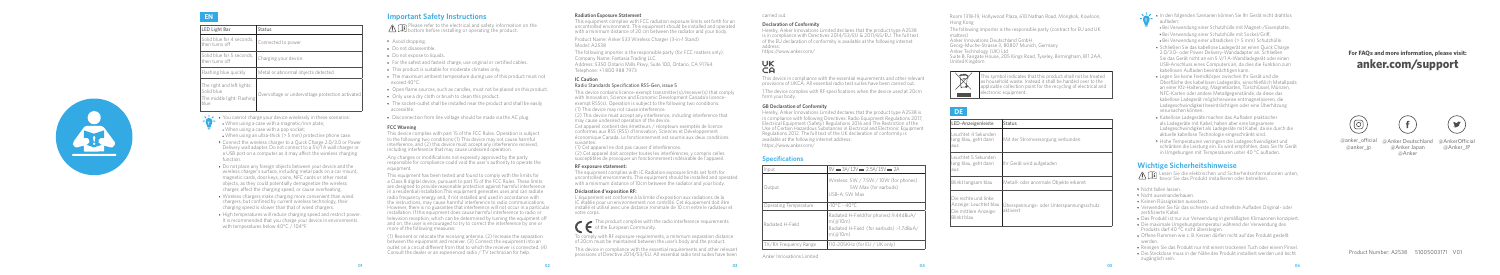# **EN**

|  | LED Light Bar                                                                  | Status                                           |
|--|--------------------------------------------------------------------------------|--------------------------------------------------|
|  | Solid blue for 4 seconds.<br>then turns off                                    | Connected to power                               |
|  | Solid blue for 5 seconds.<br>then turns off                                    | Charging your device                             |
|  | Flashing blue quickly                                                          | Metal or abnormal objects detected               |
|  | The right and left lights:<br>Solid blue<br>The middle light: Flashing<br>blue | Overvoltage or undervoltage protection activated |

- Avoid dropping.
- Do not disassemble.
- Do not expose to liquids.
- For the safest and fastest charge, use original or certified cables.
- This product is suitable for moderate climates only.
- The maximum ambient temperature during use of this product must not exceed 40°C.
- Open flame sources, such as candles, must not be placed on this product.
- Only use a dry cloth or brush to clean this product.
- The socket-outlet shall be installed near the product and shall be easily accessible.
- Disconnection from line voltage should be made via the AC plug.
- **T** • You cannot charge your device wirelessly in these scenarios: When using a case with a magnetic/iron plate;
- When using a case with a pop socket;
- When using an ultra-thick (> 5 mm) protective phone case. • Connect the wireless charger to a Quick Charge 2.0/3.0 or Power
- Delivery wall adapter. Do not connect to a 5V/1A wall charger or a USB port on a computer as it may affect the wireless charging function.
- Do not place any foreign objects between your device and the wireless charger's surface, including metal pads on a car mount, magnetic cards, door keys, coins, NFC cards or other metal objects, as they could potentially demagnetize the wireless charger, affect the charging speed, or cause overheating.
- Wireless chargers make charging more convenient than wired chargers, but confined by current wireless technology, their charging speed is slower than that of wired chargers.
- High temperatures will reduce charging speed and restrict power. It is recommended that you charge your device in environments with temperatures below 40°C / 104°F.

## **Important Safety Instructions**

A  $\cap$  Please refer to the electrical and safety information on the bottom before installing or operating the product.

### **FCC Warning**

This device complies with part 15 of the FCC Rules. Operation is subject to the following two conditions:(1) This device may not cause harmful interference, and (2) this device must accept any interference received, including interference that may cause undesired operation.

Any changes or modifications not expressly approved by the party responsible for compliance could void the user's authority to operate the equipment.

This equipment has been tested and found to comply with the limits for a Class B digital device, pursuant to part 15 of the FCC Rules. These limits are designed to provide reasonable protection against harmful interference in a residential installation.This equipment generates uses and can radiate radio frequency energy and, if not installed and used in accordance with the instructions, may cause harmful interference to radio communications. However, there is no guarantee that interference will not occur in a particular installation. If this equipment does cause harmful interference to radio or television reception, which can be determined by turning the equipment off and on, the user is encouraged to try to correct the interference by one or more of the following measures:

https://www.anker.com/ UK<br>CA

(1) Reorient or relocate the receiving antenna. (2) Increase the separation between the equipment and receiver. (3) Connect the equipment into an outlet on a circuit different from that to which the receiver is connected. (4) Consult the dealer or an experienced radio / TV technician for help.

### **Radiation Exposure Statement**

This equipment complies with FCC radiation exposure limits set forth for an uncontrolled environment. This equipment should be installed and operated with a minimum distance of 20 cm between the radiator and your body.

> **DE Contract Contract**

Product Name: Anker 533 Wireless Charger (3-in-1 Stand) Model: A2538

The following importer is the responsible party (for FCC matters only). Company Name: Fantasia Trading LLC Address: 5350 Ontario Mills Pkwy, Suite 100, Ontario, CA 91764 Telephone: +1 800 988 7973

## **IC Caution**

### Radio Standards Specification RSS-Gen, issue 5

This device contains licence-exempt transmitter(s)/receiver(s) that comply with Innovation, Science and Economic Development Canada's licenceexempt RSS(s). Operation is subject to the following two conditions: (1) This device may not cause interference.

(2) This device must accept any interference, including interference that may cause undesired operation of the device.

Cet appareil contient des émetteurs / récepteurs exemptés de licence conformes aux RSS (RSS) d'Innovation, Sciences et Développement économique Canada. Le fonctionnement est soumis aux deux conditions suivantes:

(1) Cet appareil ne doit pas causer d'interférences.

(2) Cet appareil doit accepter toutes les interférences, y compris celles susceptibles de provoquer un fonctionnement indésirable de l'appareil.

#### **RF exposure statement:**

The equipment complies with IC Radiation exposure limits set forth for uncontrolled environments. This equipment should be installed and operated with a minimum distance of 10cm between the radiator and your body.

#### **Déclaration d'exposition RF:**

L'équipement est conforme à la limite d'exposition aux radiations de la IC établie pour un environnement non contrôlé. Cet équipement doit être installé et utilisé avec une distance minimale de 10 cm entre le radiateur et votre corps.

 $\blacktriangleright$  This product complies with the radio interference requirements of the European Community.

To comply with RF exposure requirements, a minimum separation distance of 20cm must be maintained between the user's body and the product.

This device in compliance with the essential requirements and other relevant provisions of Directive 2014/53/EU. All essential radio test suites have been



carried out.

#### **Declaration of Conformity**

Hereby, Anker Innovations Limited declares that the product type A2538 is in compliance with Directives 2014/53/EU & 2011/65/EU. The full text of the EU declaration of conformity is available at the following internet

address:

This device in compliance with the essential requirements and other relevant provisions of UKCA. All essential radio test suites have been carried out.

1.The device complies with RF specifications when the device used at 20cm form your body.

## **GB Declaration of Conformity**

Hereby, Anker Innovations Limited declares that the product type A2538 is in compliance with following Directives: Radio Equipment Regulations 2017, Electrical Equipment (Safety) Regulations 2016 and The Restriction of the Use of Certain Hazardous Substances in Electrical and Electronic Equipment Regulations 2012. The full text of the UK declaration of conformity is available at the following internet address:

https://www.anker.com/

# **Specifications**

| Input                 | $9V = 3A/12V = 2.5A/15V = 2A$                                                                            |
|-----------------------|----------------------------------------------------------------------------------------------------------|
| Output                | Wireless: 5W / 7.5W / 10W (for phones)<br>5W Max (for earbuds)<br>USB-A: 5W Max                          |
| Operating Temperature | $-10^{\circ}$ C - 40°C                                                                                   |
| Radiated H-Field      | Radiated H-Field(for phones):9.44dBuA/<br>m(a10m)<br>Radiated H-Field (for earbuds):-1.7dBuA/<br>m(a10m) |
| TX/RX Frequency Range | 110-205KHz (for EU / UK only)                                                                            |

Anker Innovations Limited

Room 1318-19, Hollywood Plaza, 610 Nathan Road, Mongkok, Kowloon, Hong Kong

The following importer is the responsible party (contract for EU and UK matters) Anker Innovations Deutschland GmbH

Georg-Muche-Strasse 3, 80807 Munich, Germany Anker Technology (UK) Ltd Suite B, Fairgate House, 205 Kings Road, Tyseley, Birmingham, B11 2AA, United Kingdom

 $\begin{picture}(120,15) \put(0,0){\line(1,0){15}} \put(15,0){\line(1,0){15}} \put(15,0){\line(1,0){15}} \put(15,0){\line(1,0){15}} \put(15,0){\line(1,0){15}} \put(15,0){\line(1,0){15}} \put(15,0){\line(1,0){15}} \put(15,0){\line(1,0){15}} \put(15,0){\line(1,0){15}} \put(15,0){\line(1,0){15}} \put(15,0){\line(1,0){15}} \put(15,0){\line($ This symbol indicates that this product shall not be treated as household waste. Instead it shall be handed over to the applicable collection point for the recycling of electrical and electronic equipment. **Contract** 

| LED-Anzeigenleiste                                                                     | Status                                                |  |
|----------------------------------------------------------------------------------------|-------------------------------------------------------|--|
| Leuchtet 4 Sekunden<br>lang blau, geht dann<br>aus                                     | Mit der Stromversorgung verbunden                     |  |
| Leuchtet 5 Sekunden<br>lang blau, geht dann<br>aus                                     | Ihr Gerät wird aufgeladen                             |  |
| Blinkt langsam blau                                                                    | Metall- oder anormale Obiekte erkannt                 |  |
| Die rechte und linke<br>Anzeige: Leuchtet blau<br>Die mittlere Anzeige:<br>Blinkt blau | Uberspannungs- oder Unterspannungsschutz<br>aktiviert |  |

**T** • In den folgenden Szenarien können Sie Ihr Gerät nicht drahtlos aufladen:

 Bei Verwendung einer Schutzhülle mit Magnet-/Eisenplatte, Bei Verwendung einer Schutzhülle mit Sockel/Griff, Bei Verwendung einer ultradicken (> 5 mm) Schutzhülle.

- Schließen Sie das kabellose Ladegerät an einen Quick Charge 2.0/3.0- oder Power Delivery-Wandadapter an. Schließen Sie das Gerät nicht an ein 5 V/1 A-Wandladegerät oder einen USB-Anschluss eines Computers an, da dies die Funktion zum kabellosen Aufladen beeinträchtigen kann.
- Legen Sie keine Fremdkörper zwischen Ihr Gerät und die Oberfläche des kabellosen Ladegeräts, einschließlich Metallpads an einer Kfz-Halterung, Magnetkarten, Türschlüssel, Münzen, NFC-Karten oder andere Metallgegenstände, da diese das kabellose Ladegerät möglicherweise entmagnetisieren, die Ladegeschwindigkeit beeinträchtigen oder eine Überhitzung verursachen können.
- Kabellose Ladegeräte machen das Aufladen praktischer als Ladegeräte mit Kabel, haben aber eine langsamere Ladegeschwindigkeit als Ladegeräte mit Kabel, da sie durch die aktuelle kabellose Technologie eingeschränkt sind.
- Hohe Temperaturen verringern die Ladegeschwindigkeit und schränken die Leistung ein. Es wird empfohlen, dass Sie Ihr Gerät in Umgebungen mit Temperaturen unter 40 °C aufladen.

## **Wichtige Sicherheitshinweise**

Lesen Sie die elektrischen und Sicherheitsinformationen unten, bevor Sie das Produkt installieren oder betreiben.

- Nicht fallen lassen.
- Nicht auseinanderbauen.
- Keinen Flüssigkeiten aussetzen.
- Verwenden Sie für das sicherste und schnellste Aufladen Original- oder zertifizierte Kabel.
- Das Produkt ist nur zur Verwendung in gemäßigten Klimazonen konzipiert.
- Die maximale Umgebungstemperatur während der Verwendung des Produkts darf 40 °C nicht übersteigen.
- Offene Flammen wie z. B. Kerzen dürfen nicht auf das Produkt gestellt werden.
- Reinigen Sie das Produkt nur mit einem trockenen Tuch oder einem Pinsel.
- Die Steckdose muss in der Nähe des Produkt installiert werden und leicht zugänglich sein.

Product Number: A2538 51005003171 V01

# **For FAQs and more information, please visit: anker.com/support**